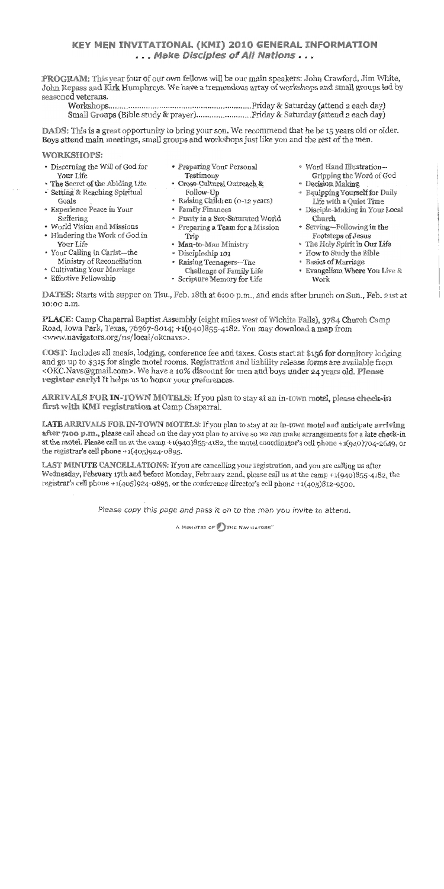## **KEY MEN INVITATIONAL (KMI) 2010 GENERAL INFORMATION** ... Make Disciples of All Nations...

PROGRAM: This year four of our own fellows will be our main speakers: John Crawford, Jim White, John Repass and Kirk Humphreys. We have a tremendous array of workshops and small groups led by seasoned veterans.

**DADS:** This is a great opportunity to bring your son. We recommend that he be 15 years old or older. Boys attend main meetings, small groups and workshops just like you and the rest of the men.

### **WORKSHOPS:**

- Discerning the Will of God for Your Life
- The Secret of the Abiding Life
- Setting & Reaching Spiritual Goals
- \* Experience Peace in Your Suffering
- World Vision and Missions
- Hindering the Work of God in Your Life
- Your Calling in Christ-the Ministry of Reconciliation
- Cultivating Your Marriage
- Effective Fellowship
- Preparing Your Personal Testimony
- · Cross-Cultural Outreach & Follow-Up
- · Raising Children (0-12 years)
- · Family Finances
- · Purity in a Sex-Saturated World
- Preparing a Team for a Mission Trip
- · Man-to-Man Ministry
- · Discipleship 101
- Raising Teenagers-The
- Challenge of Family Life
- \* Scripture Memory for Life
- · Word Hand Illustration-Gripping the Word of God
- · Decision Making
- Equipping Yourself for Daily Life with a Ouiet Time
- · Disciple-Making in Your Local Church
- Serving-Following in the Footsteps of Jesus
- \* The Holy Spirit in Our Life
- . How to Study the Bible
- Basics of Marriage
- Evangelism Where You Live & Work

DATES: Starts with supper on Thu., Feb. 18th at 6:00 p.m., and ends after brunch on Sun., Feb. 21st at 10:00 a.m.

PLACE: Camp Chaparral Baptist Assembly (eight miles west of Wichita Falls), 3784 Church Camp Road, Iowa Park, Texas, 76367-8014; +1(940)855-4182. You may download a map from <www.navigators.org/us/local/okcnavs>.

COST: Includes all meals, lodging, conference fee and taxes. Costs start at \$156 for dormitory lodging and go up to \$315 for single motel rooms. Registration and liability release forms are available from <OKC.Navs@gmail.com>. We have a 10% discount for men and boys under 24 years old. Please register early! It helps us to honor your preferences.

ARRIVALS FOR IN-TOWN MOTELS: If you plan to stay at an in-town motel, please check-in first with KMI registration at Camp Chaparral.

LATE ARRIVALS FOR IN-TOWN MOTELS: If you plan to stay at an in-town motel and anticipate arriving. after 7:00 p.m., please call ahead on the day you plan to arrive so we can make arrangements for a late check-in at the motel. Please call us at the camp + $1(940)855-4182$ , the motel coordinator's cell phone + $1(940)704-2649$ , or the registrar's cell phone  $+1(405)924-0895$ .

LAST MINUTE CANCELLATIONS: If you are cancelling your registration, and you are calling us after Wednesday, February 17th and before Monday, February 22nd, please call us at the camp +1(940)855-4182, the registrar's cell phone + $1(405)924-0895$ , or the conference director's cell phone + $1(405)812-9500$ .

Please copy this page and pass it on to the man you invite to attend.

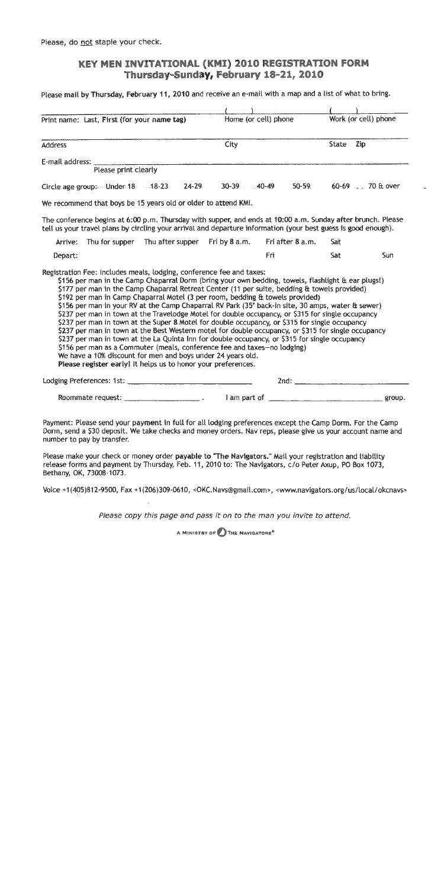Please, do not staple your check.

## KEY MEN INVITATIONAL (KMI) 2010 REGISTRATION FORM Thursday-Sunday, February 18-21, 2010

Please mail by Thursday, February 11, 2010 and receive an e-mail with a map and a list of what to bring.

| Print name: Last, First (for your name tag)                                                                                                                                                                                                                                                                                                                                                                                                                                                                                                                                                                                                                                                                                                                                                                                                                                                                                                                                                                          |             | Home (or cell) phone | Work (or cell) phone          |     |
|----------------------------------------------------------------------------------------------------------------------------------------------------------------------------------------------------------------------------------------------------------------------------------------------------------------------------------------------------------------------------------------------------------------------------------------------------------------------------------------------------------------------------------------------------------------------------------------------------------------------------------------------------------------------------------------------------------------------------------------------------------------------------------------------------------------------------------------------------------------------------------------------------------------------------------------------------------------------------------------------------------------------|-------------|----------------------|-------------------------------|-----|
| <b>Address</b>                                                                                                                                                                                                                                                                                                                                                                                                                                                                                                                                                                                                                                                                                                                                                                                                                                                                                                                                                                                                       | City        |                      | State<br>Zip                  |     |
| E-mail address: _<br>Please print clearly                                                                                                                                                                                                                                                                                                                                                                                                                                                                                                                                                                                                                                                                                                                                                                                                                                                                                                                                                                            |             |                      |                               |     |
| $24 - 29$<br>Circle age group: Under 18 48-23                                                                                                                                                                                                                                                                                                                                                                                                                                                                                                                                                                                                                                                                                                                                                                                                                                                                                                                                                                        | 30-39 40-49 | $50 - 59$            | $60-69$ . 70 $\text{ft}$ over |     |
| We recommend that boys be 15 years old or older to attend KMI.                                                                                                                                                                                                                                                                                                                                                                                                                                                                                                                                                                                                                                                                                                                                                                                                                                                                                                                                                       |             |                      |                               |     |
| The conference begins at 6:00 p.m. Thursday with supper, and ends at 10:00 a.m. Sunday after brunch. Please<br>tell us your travel plans by circling your arrival and departure information (your best guess is good enough).                                                                                                                                                                                                                                                                                                                                                                                                                                                                                                                                                                                                                                                                                                                                                                                        |             |                      |                               |     |
| Thu for supper Thu after supper Fri by 8 a.m.<br>Arrive:                                                                                                                                                                                                                                                                                                                                                                                                                                                                                                                                                                                                                                                                                                                                                                                                                                                                                                                                                             |             | Fri after 8 a.m.     | Sat                           |     |
| Depart:                                                                                                                                                                                                                                                                                                                                                                                                                                                                                                                                                                                                                                                                                                                                                                                                                                                                                                                                                                                                              |             | Frî                  | Sat                           | Sun |
| \$156 per man in the Camp Chaparral Dorm (bring your own bedding, towels, flashlight & ear plugs!)<br>\$177 per man in the Camp Chaparral Retreat Center (11 per suite, bedding & towels provided)<br>\$192 per man in Camp Chaparral Motel (3 per room, bedding & towels provided)<br>\$156 per man in your RV at the Camp Chaparral RV Park (35' back-in site, 30 amps, water & sewer)<br>\$237 per man in town at the Travelodge Motel for double occupancy, or \$315 for single occupancy<br>\$237 per man in town at the Super 8 Motel for double occupancy, or \$315 for single occupancy<br>\$237 per man in town at the Best Western motel for double occupancy, or \$315 for single occupancy<br>\$237 per man in town at the La Quinta Inn for double occupancy, or \$315 for single occupancy<br>\$156 per man as a Commuter (meals, conference fee and taxes-no lodging)<br>We have a 10% discount for men and boys under 24 years old.<br>Please register early! It helps us to honor your preferences. |             |                      |                               |     |
|                                                                                                                                                                                                                                                                                                                                                                                                                                                                                                                                                                                                                                                                                                                                                                                                                                                                                                                                                                                                                      |             |                      |                               |     |
| Roommate request: _________________________.                                                                                                                                                                                                                                                                                                                                                                                                                                                                                                                                                                                                                                                                                                                                                                                                                                                                                                                                                                         |             |                      |                               |     |
| Payment: Please send your payment in full for all lodging preferences except the Camp Dorm. For the Camp<br>Dorm, send a \$30 deposit. We take checks and money orders. Nav reps, please give us your account name and<br>number to pay by transfer.                                                                                                                                                                                                                                                                                                                                                                                                                                                                                                                                                                                                                                                                                                                                                                 |             |                      |                               |     |
| Please make your check or money order payable to "The Navigators." Mail your registration and liability<br>release forms and payment by Thursday, Feb. 11, 2010 to: The Navigators, c/o Peter Axup, PO Box 1073,<br>Bethany, OK, 73008-1073.                                                                                                                                                                                                                                                                                                                                                                                                                                                                                                                                                                                                                                                                                                                                                                         |             |                      |                               |     |

Voice +1(405)812-9500, Fax +1(206)309-0610, < OKC.Navs@gmail.com>, <www.navigators.org/us/local/okcnavs>

Please copy this page and pass it on to the man you invite to attend.

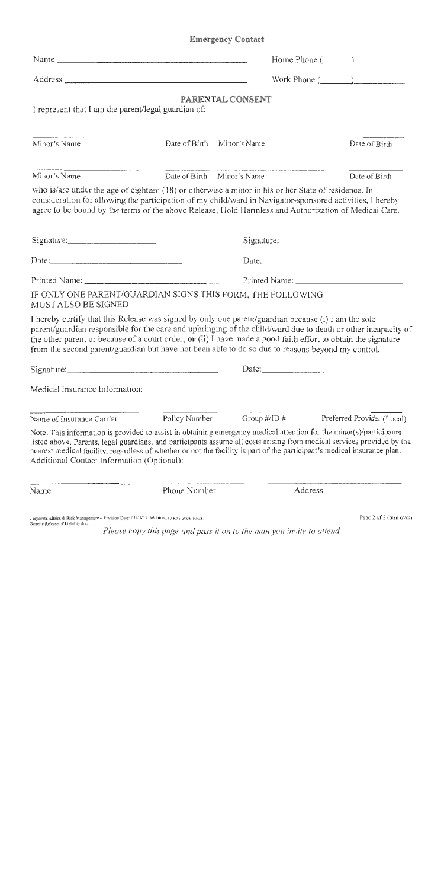# **Emergency Contact**

| Name $\frac{1}{\sqrt{1-\frac{1}{2}}}\left\{ \frac{1}{\sqrt{1-\frac{1}{2}}}\right\}$                                                                                                                                                                                                                                                                                                                                                        |                              |                                                                                                                                                                                                                                                                                                                                                                                                                                                     | Home Phone $(\_\_$         |
|--------------------------------------------------------------------------------------------------------------------------------------------------------------------------------------------------------------------------------------------------------------------------------------------------------------------------------------------------------------------------------------------------------------------------------------------|------------------------------|-----------------------------------------------------------------------------------------------------------------------------------------------------------------------------------------------------------------------------------------------------------------------------------------------------------------------------------------------------------------------------------------------------------------------------------------------------|----------------------------|
|                                                                                                                                                                                                                                                                                                                                                                                                                                            |                              |                                                                                                                                                                                                                                                                                                                                                                                                                                                     |                            |
| I represent that I am the parent/legal guardian of:                                                                                                                                                                                                                                                                                                                                                                                        |                              | PARENTAL CONSENT                                                                                                                                                                                                                                                                                                                                                                                                                                    |                            |
| Minor's Name                                                                                                                                                                                                                                                                                                                                                                                                                               |                              | Date of Birth Minor's Name                                                                                                                                                                                                                                                                                                                                                                                                                          | Date of Birth              |
| Minor's Name                                                                                                                                                                                                                                                                                                                                                                                                                               |                              | Date of Birth Minor's Name                                                                                                                                                                                                                                                                                                                                                                                                                          | Date of Birth              |
| who is/are under the age of eighteen (18) or otherwise a minor in his or her State of residence. In<br>consideration for allowing the participation of my child/ward in Navigator-sponsored activities, I hereby<br>agree to be bound by the terms of the above Release, Hold Hannless and Authorization of Medical Care.                                                                                                                  |                              |                                                                                                                                                                                                                                                                                                                                                                                                                                                     |                            |
| Signature: $\frac{1}{2}$ Signature:                                                                                                                                                                                                                                                                                                                                                                                                        |                              |                                                                                                                                                                                                                                                                                                                                                                                                                                                     | Signature:                 |
|                                                                                                                                                                                                                                                                                                                                                                                                                                            | Date:<br>Date: $\frac{1}{2}$ |                                                                                                                                                                                                                                                                                                                                                                                                                                                     |                            |
|                                                                                                                                                                                                                                                                                                                                                                                                                                            |                              |                                                                                                                                                                                                                                                                                                                                                                                                                                                     |                            |
| IF ONLY ONE PARENT/GUARDIAN SIGNS THIS FORM, THE FOLLOWING<br>MUST ALSO BE SIGNED:                                                                                                                                                                                                                                                                                                                                                         |                              |                                                                                                                                                                                                                                                                                                                                                                                                                                                     |                            |
| I hereby certify that this Release was signed by only one parent/guardian because (i) I am the sole<br>parent/guardian responsible for the care and upbringing of the child/ward due to death or other incapacity of<br>the other parent or because of a court order; or (ii) I have made a good faith effort to obtain the signature<br>from the second parent/guardian but have not been able to do so due to reasons beyond my control. |                              |                                                                                                                                                                                                                                                                                                                                                                                                                                                     |                            |
|                                                                                                                                                                                                                                                                                                                                                                                                                                            |                              | Date: $\frac{1}{\sqrt{1-\frac{1}{2}} \cdot \frac{1}{\sqrt{1-\frac{1}{2}} \cdot \frac{1}{\sqrt{1-\frac{1}{2}} \cdot \frac{1}{\sqrt{1-\frac{1}{2}} \cdot \frac{1}{\sqrt{1-\frac{1}{2}} \cdot \frac{1}{\sqrt{1-\frac{1}{2}} \cdot \frac{1}{\sqrt{1-\frac{1}{2}} \cdot \frac{1}{\sqrt{1-\frac{1}{2}} \cdot \frac{1}{\sqrt{1-\frac{1}{2}} \cdot \frac{1}{\sqrt{1-\frac{1}{2}} \cdot \frac{1}{\sqrt{1-\frac{1}{2}} \cdot \frac{1}{\sqrt{1-\frac{1}{2}} \$ |                            |
| Medical Insurance Information:                                                                                                                                                                                                                                                                                                                                                                                                             |                              |                                                                                                                                                                                                                                                                                                                                                                                                                                                     |                            |
| Name of Insurance Carrier                                                                                                                                                                                                                                                                                                                                                                                                                  | Policy Number                | Group $\#$ /ID $\#$                                                                                                                                                                                                                                                                                                                                                                                                                                 | Preferred Provider (Local) |
| Note: This information is provided to assist in obtaining emergency medical attention for the minor(s)/participants<br>listed above. Parents, legal guardians, and participants assume all costs arising from medical services provided by the<br>nearest medical facility, regardless of whether or not the facility is part of the participant's medical insurance plan.<br>Additional Contact Information (Optional):                   |                              |                                                                                                                                                                                                                                                                                                                                                                                                                                                     |                            |
| Name                                                                                                                                                                                                                                                                                                                                                                                                                                       | Phone Number                 | Address                                                                                                                                                                                                                                                                                                                                                                                                                                             |                            |
| Comporate: Affairs & Risk Management - Revision. Date: 03/03/03 Additions by KAII 2008-10-28.<br>Generic Kelease of Liability doc                                                                                                                                                                                                                                                                                                          |                              |                                                                                                                                                                                                                                                                                                                                                                                                                                                     | Page 2 of 2 (turn over)    |

Please copy this page and pass it on to the man you invite to attend.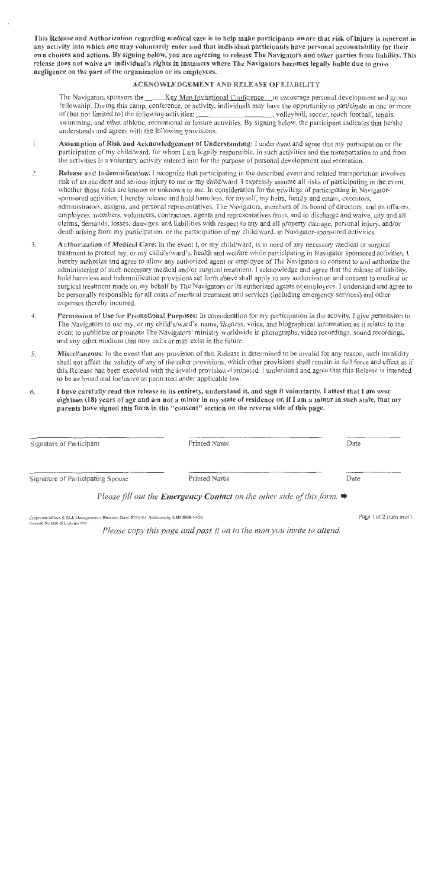This Release and Authorization regarding medical care is to help make participants aware that risk of injury is inherent in any activity into which one may voluntarily enter and that individual participants have personal accountability for their own choiees and actions. By signing below, you are agreeing to release The Navigators and other parties from liability. This release does not waive an individual's rights in instances where The Navigators becomes legally liable due to gross negligence on the part of the organization or its employees.

#### ACKNOWLEDGEMENT AND RELEASE OF LIABILITY

The Navigators sponsors the \_\_\_\_\_ Key Men Invitational Conference to encourage personal development and group fellowship. During this camp, conference, or activity, individuals may have the opportunity to participate in one or more of (but not limited to) the following activities: \_\_\_\_\_\_\_\_\_\_\_\_\_\_\_\_\_\_\_\_, volleyball, soccer, touch football, temis. swimming, and other athletic, recreational or leisure activities. By signing below, the participant indicates that he/she understands and agrees with the following provisions.

- Assumption of Risk and Acknowledgement of Understanding: I understand and agree that my participation or the  $\mathbf{I}$ . participation of my child/ward, for whom I am legally responsible, in such activities and the transportation to and from the activities is a voluntary activity entered into for the purpose of personal development and recreation.
- Release and Indemnitication: I recognize that participating in the described event and related transportation involves  $2.$ risk of an accident and serious injury to me or my child/ward. I expressly assume all risks of participating in the event. whether those risks are known or unknown to me. In consideration for the privilege of participating in Navigatorsponsored activities, I hereby release and hold hamiless, for myself, my heirs, family and estate, executors, administrators, assigns, and personal representatives. The Navigators, members of its board of directors, and its officers. employees, members, volunteers, contractors, agents and representatives from, and to discharge and waive, any and all claims, demands, losses, damages, and liabilities with respect to any and all property damage, personal injury, and/or death arising from my participation, or the participation of my child/ward, in Navigator-sponsored activities.
- 3. Authorization of Medical Care: In the event I, or my child/ward, is in need of any necessary medical or surgical treatment to protect my, or my child's/ward's, health and welfare while participating in Navigator sponsored activities, I hereby authorize and agree to allow any authorized agent or employee of The Navigators to consent to and authorize the administering of such necessary medical and/or surgical treatment. I acknowledge and agree that the release of liability. hold harmless and indemnification provisions set forth above shall apply to any authorization and consent to medical or surgical treatment made on my behalf by The Navigators or its authorized agents or employees. I understand and agree to be personally responsible for all costs of medical treatment and services (including emergency services) and other expenses thereby incurred.
- $4.$ Permission of Use for Promotional Purposes: In consideration for my participation in the activity. I give permission to The Navigators to use my, or my child's/ward's, name, likeness, voice, and biographical information as it relates to the event to publicize or promote The Navigators' ministry worldwide in photographs, video recordings, sound recordings, and any other medium that now exits or may exist in the future.
- 5. Miscellaneous: In the event that any provision of this Release is determined to be invalid for any reason, such invalidity shall not affect the validity of any of the other provisions, which other provisions shall remain in full force and effect as if this Release had been executed with the invalid provision eliminated. I understand and agree that this Release is intended to be as broad and inclusive as permitted under applicable law.
- I have carefully read this release in its entirety, understand it, and sign it voluntarily. I attest that I am over 6. eighteen (18) years of age and am not a minor in my state of residence or, if I am a minor in such state, that my parents have signed this form in the "consent" section on the reverse side of this page.

| Signature of Participant          | Printed Name                                                                               | Date |
|-----------------------------------|--------------------------------------------------------------------------------------------|------|
| Signature of Participating Spouse | Printed Name                                                                               | Date |
|                                   | Please fill out the <b>Emergency Contact</b> on the other side of this form. $\rightarrow$ |      |

Corporate Atflairs & Risk Management - Revision Date; 03/03/03. Additions by KMI 2008-10-28 Generic Release of Liability doc

Please copy this page and pass it on to the man you invite to attend.

Page 1 of 2 (turn over)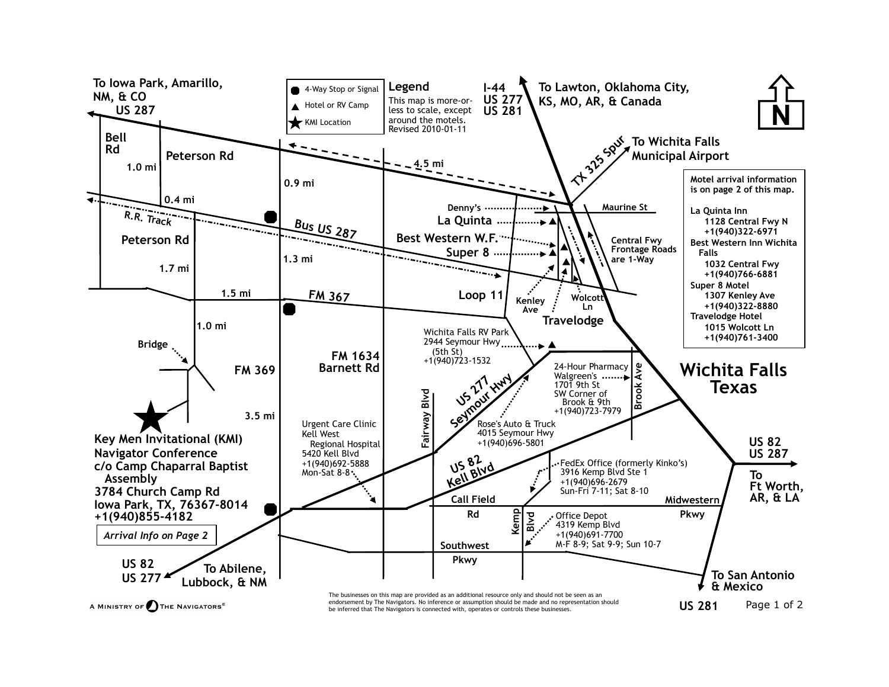